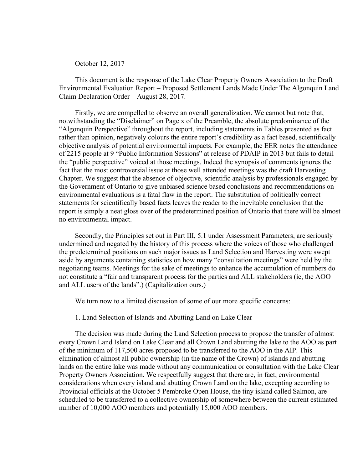October 12, 2017

This document is the response of the Lake Clear Property Owners Association to the Draft Environmental Evaluation Report – Proposed Settlement Lands Made Under The Algonquin Land Claim Declaration Order – August 28, 2017.

Firstly, we are compelled to observe an overall generalization. We cannot but note that, notwithstanding the "Disclaimer" on Page x of the Preamble, the absolute predominance of the "Algonquin Perspective" throughout the report, including statements in Tables presented as fact rather than opinion, negatively colours the entire report's credibility as a fact based, scientifically objective analysis of potential environmental impacts. For example, the EER notes the attendance of 2215 people at 9 "Public Information Sessions" at release of PDAIP in 2013 but fails to detail the "public perspective" voiced at those meetings. Indeed the synopsis of comments ignores the fact that the most controversial issue at those well attended meetings was the draft Harvesting Chapter. We suggest that the absence of objective, scientific analysis by professionals engaged by the Government of Ontario to give unbiased science based conclusions and recommendations on environmental evaluations is a fatal flaw in the report. The substitution of politically correct statements for scientifically based facts leaves the reader to the inevitable conclusion that the report is simply a neat gloss over of the predetermined position of Ontario that there will be almost no environmental impact.

Secondly, the Principles set out in Part III, 5.1 under Assessment Parameters, are seriously undermined and negated by the history of this process where the voices of those who challenged the predetermined positions on such major issues as Land Selection and Harvesting were swept aside by arguments containing statistics on how many "consultation meetings" were held by the negotiating teams. Meetings for the sake of meetings to enhance the accumulation of numbers do not constitute a "fair and transparent process for the parties and ALL stakeholders (ie, the AOO and ALL users of the lands".) (Capitalization ours.)

We turn now to a limited discussion of some of our more specific concerns:

## 1. Land Selection of Islands and Abutting Land on Lake Clear

The decision was made during the Land Selection process to propose the transfer of almost every Crown Land Island on Lake Clear and all Crown Land abutting the lake to the AOO as part of the minimum of 117,500 acres proposed to be transferred to the AOO in the AIP. This elimination of almost all public ownership (in the name of the Crown) of islands and abutting lands on the entire lake was made without any communication or consultation with the Lake Clear Property Owners Association. We respectfully suggest that there are, in fact, environmental considerations when every island and abutting Crown Land on the lake, excepting according to Provincial officials at the October 5 Pembroke Open House, the tiny island called Salmon, are scheduled to be transferred to a collective ownership of somewhere between the current estimated number of 10,000 AOO members and potentially 15,000 AOO members.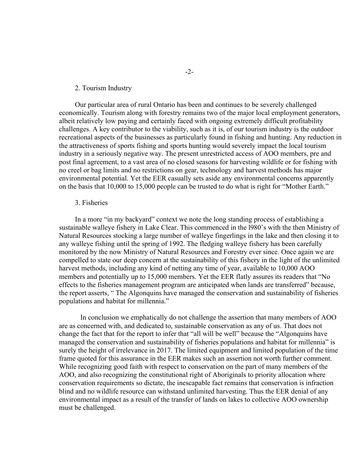## 2. Tourism Industry

Our particular area of rural Ontario has been and continues to be severely challenged economically. Tourism along with forestry remains two of the major local employment generators, albeit relatively low paying and certainly faced with ongoing extremely difficult profitability challenges. A key contributor to the viability, such as it is, of our tourism industry is the outdoor recreational aspects of the businesses as particularly found in fishing and hunting. Any reduction in the attractiveness of sports fishing and sports hunting would severely impact the local tourism industry in a seriously negative way. The present unrestricted access of AOO members, pre and post final agreement, to a vast area of no closed seasons for harvesting wildlife or for fishing with no creel or bag limits and no restrictions on gear, technology and harvest methods has major environmental potential. Yet the EER casually sets aside any environmental concerns apparently on the basis that 10,000 to 15,000 people can be trusted to do what is right for "Mother Earth."

## 3. Fisheries

In a more "in my backyard" context we note the long standing process of establishing a sustainable walleye fishery in Lake Clear. This commenced in the l980's with the then Ministry of Natural Resources stocking a large number of walleye fingerlings in the lake and then closing it to any walleye fishing until the spring of 1992. The fledging walleye fishery has been carefully monitored by the now Ministry of Natural Resources and Forestry ever since. Once again we are compelled to state our deep concern at the sustainability of this fishery in the light of the unlimited harvest methods, including any kind of netting any time of year, available to 10,000 AOO members and potentially up to 15,000 members. Yet the EER flatly assures its readers that "No effects to the fisheries management program are anticipated when lands are transferred" because, the report asserts, " The Algonquins have managed the conservation and sustainability of fisheries populations and habitat for millennia."

In conclusion we emphatically do not challenge the assertion that many members of AOO are as concerned with, and dedicated to, sustainable conservation as any of us. That does not change the fact that for the report to infer that "all will be well" because the "Algonquins have managed the conservation and sustainability of fisheries populations and habitat for millennia" is surely the height of irrelevance in 2017. The limited equipment and limited population of the time frame quoted for this assurance in the EER makes such an assertion not worth further comment. While recognizing good faith with respect to conservation on the part of many members of the AOO, and also recognizing the constitutional right of Aboriginals to priority allocation where conservation requirements so dictate, the inescapable fact remains that conservation is infraction blind and no wildlife resource can withstand unlimited harvesting. Thus the EER denial of any environmental impact as a result of the transfer of lands on lakes to collective AOO ownership must be challenged.